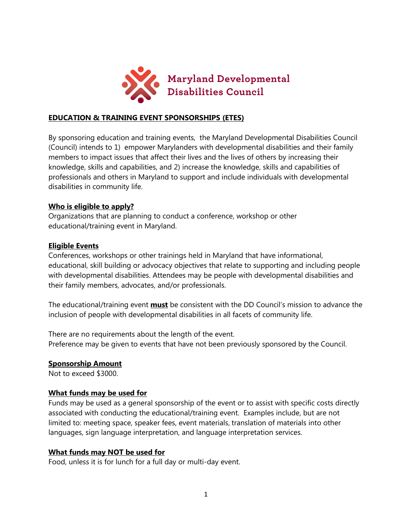

### **EDUCATION & TRAINING EVENT SPONSORSHIPS (ETES)**

By sponsoring education and training events, the Maryland Developmental Disabilities Council (Council) intends to 1) empower Marylanders with developmental disabilities and their family members to impact issues that affect their lives and the lives of others by increasing their knowledge, skills and capabilities, and 2) increase the knowledge, skills and capabilities of professionals and others in Maryland to support and include individuals with developmental disabilities in community life.

#### **Who is eligible to apply?**

Organizations that are planning to conduct a conference, workshop or other educational/training event in Maryland.

### **Eligible Events**

Conferences, workshops or other trainings held in Maryland that have informational, educational, skill building or advocacy objectives that relate to supporting and including people with developmental disabilities. Attendees may be people with developmental disabilities and their family members, advocates, and/or professionals.

The educational/training event **must** be consistent with the DD Council's mission to advance the inclusion of people with developmental disabilities in all facets of community life.

There are no requirements about the length of the event. Preference may be given to events that have not been previously sponsored by the Council.

#### **Sponsorship Amount**

Not to exceed \$3000.

#### **What funds may be used for**

Funds may be used as a general sponsorship of the event or to assist with specific costs directly associated with conducting the educational/training event. Examples include, but are not limited to: meeting space, speaker fees, event materials, translation of materials into other languages, sign language interpretation, and language interpretation services.

#### **What funds may NOT be used for**

Food, unless it is for lunch for a full day or multi-day event.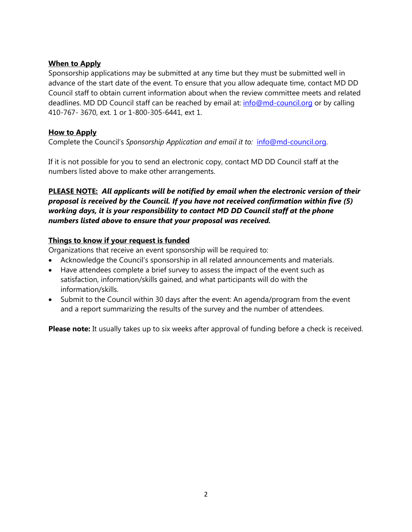## **When to Apply**

Sponsorship applications may be submitted at any time but they must be submitted well in advance of the start date of the event. To ensure that you allow adequate time, contact MD DD Council staff to obtain current information about when the review committee meets and related deadlines. MD DD Council staff can be reached by email at: [info@md-council.org](mailto:info@md-council.org) or by calling 410-767- 3670, ext. 1 or 1-800-305-6441, ext 1.

## **How to Apply**

Complete the Council's *Sponsorship Application and email it to:* [info@md-council.org.](mailto:info@md-council.org)

If it is not possible for you to send an electronic copy, contact MD DD Council staff at the numbers listed above to make other arrangements.

## **PLEASE NOTE:** *All applicants will be notified by email when the electronic version of their proposal is received by the Council. If you have not received confirmation within five (5) working days, it is your responsibility to contact MD DD Council staff at the phone numbers listed above to ensure that your proposal was received.*

## **Things to know if your request is funded**

Organizations that receive an event sponsorship will be required to:

- Acknowledge the Council's sponsorship in all related announcements and materials.
- Have attendees complete a brief survey to assess the impact of the event such as satisfaction, information/skills gained, and what participants will do with the information/skills.
- Submit to the Council within 30 days after the event: An agenda/program from the event and a report summarizing the results of the survey and the number of attendees.

**Please note:** It usually takes up to six weeks after approval of funding before a check is received.